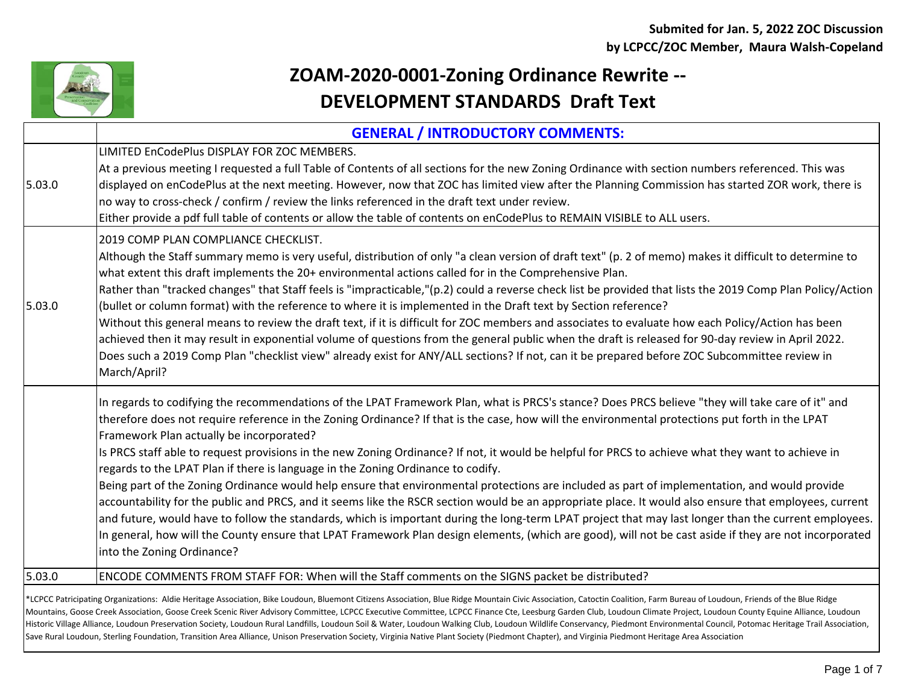

## **ZOAM-2020-0001-Zoning Ordinance Rewrite -- DEVELOPMENT STANDARDS Draft Text**

|        | <b>GENERAL / INTRODUCTORY COMMENTS:</b>                                                                                                                                                                                                                                                                                                                                                                                                                                                                                                                                                                                                                                                                                                                                                                                                                                                   |
|--------|-------------------------------------------------------------------------------------------------------------------------------------------------------------------------------------------------------------------------------------------------------------------------------------------------------------------------------------------------------------------------------------------------------------------------------------------------------------------------------------------------------------------------------------------------------------------------------------------------------------------------------------------------------------------------------------------------------------------------------------------------------------------------------------------------------------------------------------------------------------------------------------------|
|        | LIMITED EnCodePlus DISPLAY FOR ZOC MEMBERS.                                                                                                                                                                                                                                                                                                                                                                                                                                                                                                                                                                                                                                                                                                                                                                                                                                               |
| 5.03.0 | At a previous meeting I requested a full Table of Contents of all sections for the new Zoning Ordinance with section numbers referenced. This was<br>displayed on enCodePlus at the next meeting. However, now that ZOC has limited view after the Planning Commission has started ZOR work, there is<br>no way to cross-check / confirm / review the links referenced in the draft text under review.<br>Either provide a pdf full table of contents or allow the table of contents on enCodePlus to REMAIN VISIBLE to ALL users.                                                                                                                                                                                                                                                                                                                                                        |
|        | 2019 COMP PLAN COMPLIANCE CHECKLIST.                                                                                                                                                                                                                                                                                                                                                                                                                                                                                                                                                                                                                                                                                                                                                                                                                                                      |
| 5.03.0 | Although the Staff summary memo is very useful, distribution of only "a clean version of draft text" (p. 2 of memo) makes it difficult to determine to<br>what extent this draft implements the 20+ environmental actions called for in the Comprehensive Plan.                                                                                                                                                                                                                                                                                                                                                                                                                                                                                                                                                                                                                           |
|        | Rather than "tracked changes" that Staff feels is "impracticable,"(p.2) could a reverse check list be provided that lists the 2019 Comp Plan Policy/Action<br>(bullet or column format) with the reference to where it is implemented in the Draft text by Section reference?                                                                                                                                                                                                                                                                                                                                                                                                                                                                                                                                                                                                             |
|        | Without this general means to review the draft text, if it is difficult for ZOC members and associates to evaluate how each Policy/Action has been<br>achieved then it may result in exponential volume of questions from the general public when the draft is released for 90-day review in April 2022.<br>Does such a 2019 Comp Plan "checklist view" already exist for ANY/ALL sections? If not, can it be prepared before ZOC Subcommittee review in<br>March/April?                                                                                                                                                                                                                                                                                                                                                                                                                  |
|        | In regards to codifying the recommendations of the LPAT Framework Plan, what is PRCS's stance? Does PRCS believe "they will take care of it" and<br>therefore does not require reference in the Zoning Ordinance? If that is the case, how will the environmental protections put forth in the LPAT<br>Framework Plan actually be incorporated?                                                                                                                                                                                                                                                                                                                                                                                                                                                                                                                                           |
|        | Is PRCS staff able to request provisions in the new Zoning Ordinance? If not, it would be helpful for PRCS to achieve what they want to achieve in<br>regards to the LPAT Plan if there is language in the Zoning Ordinance to codify.                                                                                                                                                                                                                                                                                                                                                                                                                                                                                                                                                                                                                                                    |
|        | Being part of the Zoning Ordinance would help ensure that environmental protections are included as part of implementation, and would provide<br>accountability for the public and PRCS, and it seems like the RSCR section would be an appropriate place. It would also ensure that employees, current<br>and future, would have to follow the standards, which is important during the long-term LPAT project that may last longer than the current employees.<br>In general, how will the County ensure that LPAT Framework Plan design elements, (which are good), will not be cast aside if they are not incorporated<br>into the Zoning Ordinance?                                                                                                                                                                                                                                  |
| 5.03.0 | ENCODE COMMENTS FROM STAFF FOR: When will the Staff comments on the SIGNS packet be distributed?                                                                                                                                                                                                                                                                                                                                                                                                                                                                                                                                                                                                                                                                                                                                                                                          |
|        | *LCPCC Patricipating Organizations: Aldie Heritage Association, Bike Loudoun, Bluemont Citizens Association, Blue Ridge Mountain Civic Association, Catoctin Coalition, Farm Bureau of Loudoun, Friends of the Blue Ridge<br>Mountains, Goose Creek Association, Goose Creek Scenic River Advisory Committee, LCPCC Executive Committee, LCPCC Finance Cte, Leesburg Garden Club, Loudoun Climate Project, Loudoun County Equine Alliance, Loudoun<br>Historic Village Alliance, Loudoun Preservation Society, Loudoun Rural Landfills, Loudoun Soil & Water, Loudoun Walking Club, Loudoun Wildlife Conservancy, Piedmont Environmental Council, Potomac Heritage Trail Association<br>Save Rural Loudoun, Sterling Foundation, Transition Area Alliance, Unison Preservation Society, Virginia Native Plant Society (Piedmont Chapter), and Virginia Piedmont Heritage Area Association |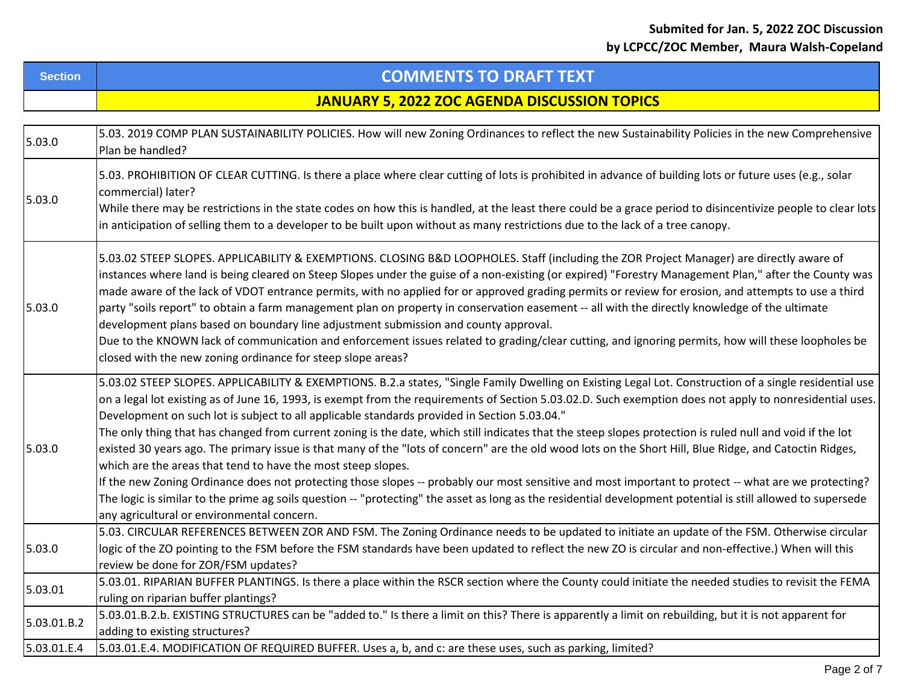|  | Section | <b>COMMENTS TO DRAFT TEXT</b>                |
|--|---------|----------------------------------------------|
|  |         | JANUARY 5. 2022 ZOC AGENDA DISCUSSION TOPICS |

| 5.03.0      | 5.03. 2019 COMP PLAN SUSTAINABILITY POLICIES. How will new Zoning Ordinances to reflect the new Sustainability Policies in the new Comprehensive<br>Plan be handled?                                                                                                                                                                                                                                                                                                                                                                                                                                                                                                                                                                                                                                                                                                                                                                                                                                                                                                                                                                                                              |
|-------------|-----------------------------------------------------------------------------------------------------------------------------------------------------------------------------------------------------------------------------------------------------------------------------------------------------------------------------------------------------------------------------------------------------------------------------------------------------------------------------------------------------------------------------------------------------------------------------------------------------------------------------------------------------------------------------------------------------------------------------------------------------------------------------------------------------------------------------------------------------------------------------------------------------------------------------------------------------------------------------------------------------------------------------------------------------------------------------------------------------------------------------------------------------------------------------------|
| 5.03.0      | 5.03. PROHIBITION OF CLEAR CUTTING. Is there a place where clear cutting of lots is prohibited in advance of building lots or future uses (e.g., solar<br>commercial) later?<br>While there may be restrictions in the state codes on how this is handled, at the least there could be a grace period to disincentivize people to clear lots<br>in anticipation of selling them to a developer to be built upon without as many restrictions due to the lack of a tree canopy.                                                                                                                                                                                                                                                                                                                                                                                                                                                                                                                                                                                                                                                                                                    |
| 5.03.0      | 5.03.02 STEEP SLOPES. APPLICABILITY & EXEMPTIONS. CLOSING B&D LOOPHOLES. Staff (including the ZOR Project Manager) are directly aware of<br>instances where land is being cleared on Steep Slopes under the guise of a non-existing (or expired) "Forestry Management Plan," after the County was<br>made aware of the lack of VDOT entrance permits, with no applied for or approved grading permits or review for erosion, and attempts to use a third<br>party "soils report" to obtain a farm management plan on property in conservation easement -- all with the directly knowledge of the ultimate<br>development plans based on boundary line adjustment submission and county approval.<br>Due to the KNOWN lack of communication and enforcement issues related to grading/clear cutting, and ignoring permits, how will these loopholes be<br>closed with the new zoning ordinance for steep slope areas?                                                                                                                                                                                                                                                              |
| 5.03.0      | 5.03.02 STEEP SLOPES. APPLICABILITY & EXEMPTIONS. B.2.a states, "Single Family Dwelling on Existing Legal Lot. Construction of a single residential use<br>on a legal lot existing as of June 16, 1993, is exempt from the requirements of Section 5.03.02.D. Such exemption does not apply to nonresidential uses.<br>Development on such lot is subject to all applicable standards provided in Section 5.03.04."<br>The only thing that has changed from current zoning is the date, which still indicates that the steep slopes protection is ruled null and void if the lot<br>existed 30 years ago. The primary issue is that many of the "lots of concern" are the old wood lots on the Short Hill, Blue Ridge, and Catoctin Ridges,<br>which are the areas that tend to have the most steep slopes.<br>If the new Zoning Ordinance does not protecting those slopes -- probably our most sensitive and most important to protect -- what are we protecting?<br>The logic is similar to the prime ag soils question -- "protecting" the asset as long as the residential development potential is still allowed to supersede<br>any agricultural or environmental concern. |
| 5.03.0      | 5.03. CIRCULAR REFERENCES BETWEEN ZOR AND FSM. The Zoning Ordinance needs to be updated to initiate an update of the FSM. Otherwise circular<br>logic of the ZO pointing to the FSM before the FSM standards have been updated to reflect the new ZO is circular and non-effective.) When will this<br>review be done for ZOR/FSM updates?                                                                                                                                                                                                                                                                                                                                                                                                                                                                                                                                                                                                                                                                                                                                                                                                                                        |
| 5.03.01     | 5.03.01. RIPARIAN BUFFER PLANTINGS. Is there a place within the RSCR section where the County could initiate the needed studies to revisit the FEMA<br>ruling on riparian buffer plantings?                                                                                                                                                                                                                                                                                                                                                                                                                                                                                                                                                                                                                                                                                                                                                                                                                                                                                                                                                                                       |
| 5.03.01.B.2 | 5.03.01.B.2.b. EXISTING STRUCTURES can be "added to." Is there a limit on this? There is apparently a limit on rebuilding, but it is not apparent for<br>adding to existing structures?                                                                                                                                                                                                                                                                                                                                                                                                                                                                                                                                                                                                                                                                                                                                                                                                                                                                                                                                                                                           |
| 5.03.01.E.4 | 5.03.01.E.4. MODIFICATION OF REQUIRED BUFFER. Uses a, b, and c: are these uses, such as parking, limited?                                                                                                                                                                                                                                                                                                                                                                                                                                                                                                                                                                                                                                                                                                                                                                                                                                                                                                                                                                                                                                                                         |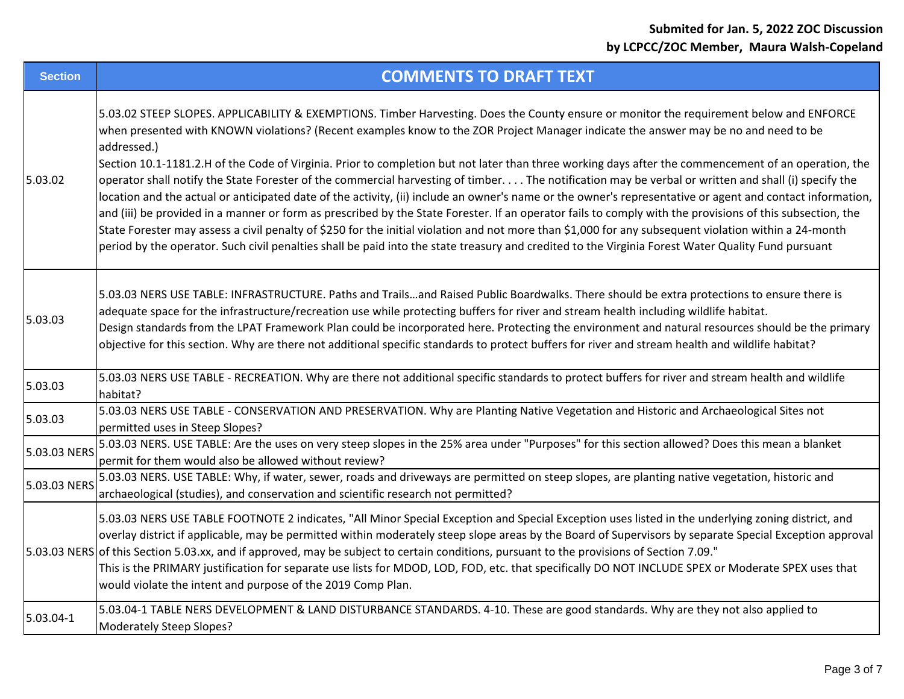| <b>Section</b> | <b>COMMENTS TO DRAFT TEXT</b>                                                                                                                                                                                                                                                                                                                                                                                                                                                                                                                                                                                                                                                                                                                                                                                                                                                                                                                                                                                                                                                                                                                                                                                                                           |
|----------------|---------------------------------------------------------------------------------------------------------------------------------------------------------------------------------------------------------------------------------------------------------------------------------------------------------------------------------------------------------------------------------------------------------------------------------------------------------------------------------------------------------------------------------------------------------------------------------------------------------------------------------------------------------------------------------------------------------------------------------------------------------------------------------------------------------------------------------------------------------------------------------------------------------------------------------------------------------------------------------------------------------------------------------------------------------------------------------------------------------------------------------------------------------------------------------------------------------------------------------------------------------|
| 5.03.02        | 5.03.02 STEEP SLOPES. APPLICABILITY & EXEMPTIONS. Timber Harvesting. Does the County ensure or monitor the requirement below and ENFORCE<br>when presented with KNOWN violations? (Recent examples know to the ZOR Project Manager indicate the answer may be no and need to be<br>addressed.)<br>Section 10.1-1181.2.H of the Code of Virginia. Prior to completion but not later than three working days after the commencement of an operation, the<br>operator shall notify the State Forester of the commercial harvesting of timber. The notification may be verbal or written and shall (i) specify the<br>location and the actual or anticipated date of the activity, (ii) include an owner's name or the owner's representative or agent and contact information,<br>and (iii) be provided in a manner or form as prescribed by the State Forester. If an operator fails to comply with the provisions of this subsection, the<br>State Forester may assess a civil penalty of \$250 for the initial violation and not more than \$1,000 for any subsequent violation within a 24-month<br>period by the operator. Such civil penalties shall be paid into the state treasury and credited to the Virginia Forest Water Quality Fund pursuant |
| 5.03.03        | 5.03.03 NERS USE TABLE: INFRASTRUCTURE. Paths and Trailsand Raised Public Boardwalks. There should be extra protections to ensure there is<br>adequate space for the infrastructure/recreation use while protecting buffers for river and stream health including wildlife habitat.<br>Design standards from the LPAT Framework Plan could be incorporated here. Protecting the environment and natural resources should be the primary<br>objective for this section. Why are there not additional specific standards to protect buffers for river and stream health and wildlife habitat?                                                                                                                                                                                                                                                                                                                                                                                                                                                                                                                                                                                                                                                             |
| 5.03.03        | 5.03.03 NERS USE TABLE - RECREATION. Why are there not additional specific standards to protect buffers for river and stream health and wildlife<br>habitat?                                                                                                                                                                                                                                                                                                                                                                                                                                                                                                                                                                                                                                                                                                                                                                                                                                                                                                                                                                                                                                                                                            |
| 5.03.03        | 5.03.03 NERS USE TABLE - CONSERVATION AND PRESERVATION. Why are Planting Native Vegetation and Historic and Archaeological Sites not<br>permitted uses in Steep Slopes?                                                                                                                                                                                                                                                                                                                                                                                                                                                                                                                                                                                                                                                                                                                                                                                                                                                                                                                                                                                                                                                                                 |
| 5.03.03 NERS   | 5.03.03 NERS. USE TABLE: Are the uses on very steep slopes in the 25% area under "Purposes" for this section allowed? Does this mean a blanket<br>permit for them would also be allowed without review?                                                                                                                                                                                                                                                                                                                                                                                                                                                                                                                                                                                                                                                                                                                                                                                                                                                                                                                                                                                                                                                 |
| 5.03.03 NERS   | 5.03.03 NERS. USE TABLE: Why, if water, sewer, roads and driveways are permitted on steep slopes, are planting native vegetation, historic and<br>archaeological (studies), and conservation and scientific research not permitted?                                                                                                                                                                                                                                                                                                                                                                                                                                                                                                                                                                                                                                                                                                                                                                                                                                                                                                                                                                                                                     |
|                | 5.03.03 NERS USE TABLE FOOTNOTE 2 indicates, "All Minor Special Exception and Special Exception uses listed in the underlying zoning district, and<br>overlay district if applicable, may be permitted within moderately steep slope areas by the Board of Supervisors by separate Special Exception approval<br>5.03.03 NERS of this Section 5.03.xx, and if approved, may be subject to certain conditions, pursuant to the provisions of Section 7.09."<br>This is the PRIMARY justification for separate use lists for MDOD, LOD, FOD, etc. that specifically DO NOT INCLUDE SPEX or Moderate SPEX uses that<br>would violate the intent and purpose of the 2019 Comp Plan.                                                                                                                                                                                                                                                                                                                                                                                                                                                                                                                                                                         |
| 5.03.04-1      | 5.03.04-1 TABLE NERS DEVELOPMENT & LAND DISTURBANCE STANDARDS. 4-10. These are good standards. Why are they not also applied to<br><b>Moderately Steep Slopes?</b>                                                                                                                                                                                                                                                                                                                                                                                                                                                                                                                                                                                                                                                                                                                                                                                                                                                                                                                                                                                                                                                                                      |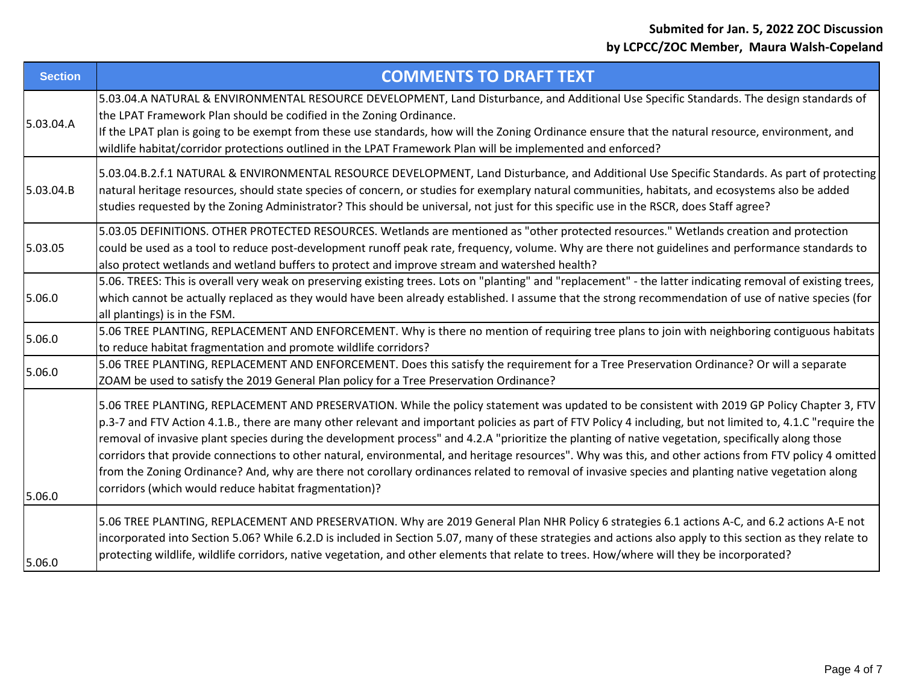| <b>Section</b> | <b>COMMENTS TO DRAFT TEXT</b>                                                                                                                                                                                                                                                                                                                                                                                                                                                                                                                                                                                                                                                                                                                                                                                                               |
|----------------|---------------------------------------------------------------------------------------------------------------------------------------------------------------------------------------------------------------------------------------------------------------------------------------------------------------------------------------------------------------------------------------------------------------------------------------------------------------------------------------------------------------------------------------------------------------------------------------------------------------------------------------------------------------------------------------------------------------------------------------------------------------------------------------------------------------------------------------------|
| 5.03.04.A      | 5.03.04.A NATURAL & ENVIRONMENTAL RESOURCE DEVELOPMENT, Land Disturbance, and Additional Use Specific Standards. The design standards of<br>the LPAT Framework Plan should be codified in the Zoning Ordinance.<br>If the LPAT plan is going to be exempt from these use standards, how will the Zoning Ordinance ensure that the natural resource, environment, and<br>wildlife habitat/corridor protections outlined in the LPAT Framework Plan will be implemented and enforced?                                                                                                                                                                                                                                                                                                                                                         |
| 5.03.04.B      | 5.03.04.B.2.f.1 NATURAL & ENVIRONMENTAL RESOURCE DEVELOPMENT, Land Disturbance, and Additional Use Specific Standards. As part of protecting<br>natural heritage resources, should state species of concern, or studies for exemplary natural communities, habitats, and ecosystems also be added<br>studies requested by the Zoning Administrator? This should be universal, not just for this specific use in the RSCR, does Staff agree?                                                                                                                                                                                                                                                                                                                                                                                                 |
| 5.03.05        | 5.03.05 DEFINITIONS. OTHER PROTECTED RESOURCES. Wetlands are mentioned as "other protected resources." Wetlands creation and protection<br>could be used as a tool to reduce post-development runoff peak rate, frequency, volume. Why are there not guidelines and performance standards to<br>also protect wetlands and wetland buffers to protect and improve stream and watershed health?                                                                                                                                                                                                                                                                                                                                                                                                                                               |
| 5.06.0         | 5.06. TREES: This is overall very weak on preserving existing trees. Lots on "planting" and "replacement" - the latter indicating removal of existing trees,<br>which cannot be actually replaced as they would have been already established. I assume that the strong recommendation of use of native species (for<br>all plantings) is in the FSM.                                                                                                                                                                                                                                                                                                                                                                                                                                                                                       |
| 5.06.0         | 5.06 TREE PLANTING, REPLACEMENT AND ENFORCEMENT. Why is there no mention of requiring tree plans to join with neighboring contiguous habitats<br>to reduce habitat fragmentation and promote wildlife corridors?                                                                                                                                                                                                                                                                                                                                                                                                                                                                                                                                                                                                                            |
| 5.06.0         | 5.06 TREE PLANTING, REPLACEMENT AND ENFORCEMENT. Does this satisfy the requirement for a Tree Preservation Ordinance? Or will a separate<br>ZOAM be used to satisfy the 2019 General Plan policy for a Tree Preservation Ordinance?                                                                                                                                                                                                                                                                                                                                                                                                                                                                                                                                                                                                         |
| 5.06.0         | 5.06 TREE PLANTING, REPLACEMENT AND PRESERVATION. While the policy statement was updated to be consistent with 2019 GP Policy Chapter 3, FTV<br>p.3-7 and FTV Action 4.1.B., there are many other relevant and important policies as part of FTV Policy 4 including, but not limited to, 4.1.C "require the<br>removal of invasive plant species during the development process" and 4.2.A "prioritize the planting of native vegetation, specifically along those<br>corridors that provide connections to other natural, environmental, and heritage resources". Why was this, and other actions from FTV policy 4 omitted<br>from the Zoning Ordinance? And, why are there not corollary ordinances related to removal of invasive species and planting native vegetation along<br>corridors (which would reduce habitat fragmentation)? |
| 5.06.0         | 5.06 TREE PLANTING, REPLACEMENT AND PRESERVATION. Why are 2019 General Plan NHR Policy 6 strategies 6.1 actions A-C, and 6.2 actions A-E not<br>incorporated into Section 5.06? While 6.2.D is included in Section 5.07, many of these strategies and actions also apply to this section as they relate to<br>protecting wildlife, wildlife corridors, native vegetation, and other elements that relate to trees. How/where will they be incorporated?                                                                                                                                                                                                                                                                                                                                                                                     |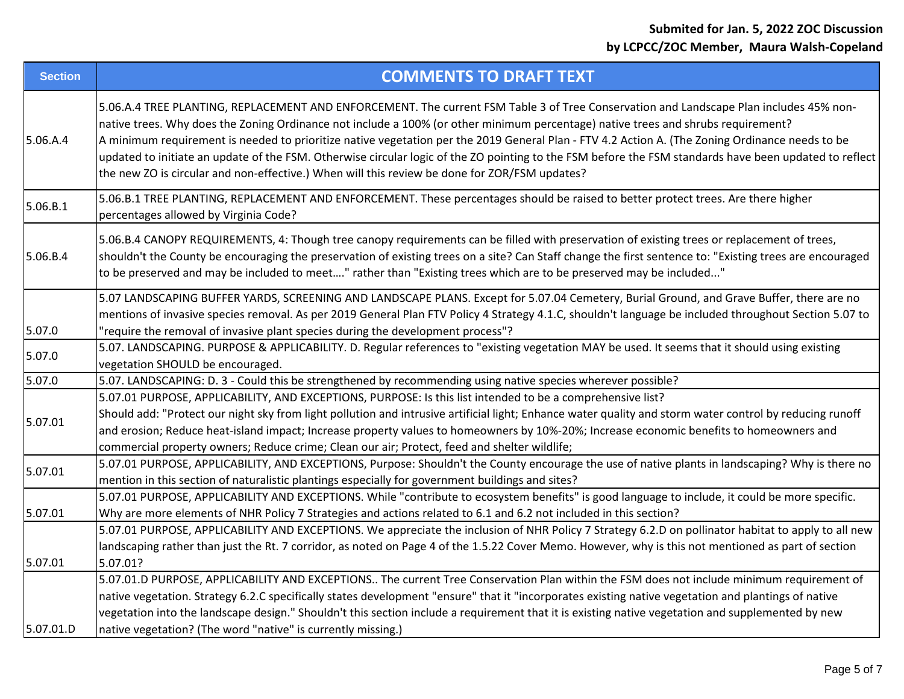| <b>Section</b> | <b>COMMENTS TO DRAFT TEXT</b>                                                                                                                                                                                                                                                                                                                                                                                                                                                                                                                                                                                                                                                             |
|----------------|-------------------------------------------------------------------------------------------------------------------------------------------------------------------------------------------------------------------------------------------------------------------------------------------------------------------------------------------------------------------------------------------------------------------------------------------------------------------------------------------------------------------------------------------------------------------------------------------------------------------------------------------------------------------------------------------|
| 5.06.A.4       | 5.06.A.4 TREE PLANTING, REPLACEMENT AND ENFORCEMENT. The current FSM Table 3 of Tree Conservation and Landscape Plan includes 45% non-<br>native trees. Why does the Zoning Ordinance not include a 100% (or other minimum percentage) native trees and shrubs requirement?<br>A minimum requirement is needed to prioritize native vegetation per the 2019 General Plan - FTV 4.2 Action A. (The Zoning Ordinance needs to be<br>updated to initiate an update of the FSM. Otherwise circular logic of the ZO pointing to the FSM before the FSM standards have been updated to reflect<br>the new ZO is circular and non-effective.) When will this review be done for ZOR/FSM updates? |
| 5.06.B.1       | 5.06.B.1 TREE PLANTING, REPLACEMENT AND ENFORCEMENT. These percentages should be raised to better protect trees. Are there higher<br>percentages allowed by Virginia Code?                                                                                                                                                                                                                                                                                                                                                                                                                                                                                                                |
| 5.06.B.4       | 5.06.B.4 CANOPY REQUIREMENTS, 4: Though tree canopy requirements can be filled with preservation of existing trees or replacement of trees,<br>shouldn't the County be encouraging the preservation of existing trees on a site? Can Staff change the first sentence to: "Existing trees are encouraged<br>to be preserved and may be included to meet" rather than "Existing trees which are to be preserved may be included"                                                                                                                                                                                                                                                            |
| 5.07.0         | 5.07 LANDSCAPING BUFFER YARDS, SCREENING AND LANDSCAPE PLANS. Except for 5.07.04 Cemetery, Burial Ground, and Grave Buffer, there are no<br>mentions of invasive species removal. As per 2019 General Plan FTV Policy 4 Strategy 4.1.C, shouldn't language be included throughout Section 5.07 to<br>'require the removal of invasive plant species during the development process"?                                                                                                                                                                                                                                                                                                      |
| 5.07.0         | 5.07. LANDSCAPING. PURPOSE & APPLICABILITY. D. Regular references to "existing vegetation MAY be used. It seems that it should using existing<br>vegetation SHOULD be encouraged.                                                                                                                                                                                                                                                                                                                                                                                                                                                                                                         |
| 5.07.0         | 5.07. LANDSCAPING: D. 3 - Could this be strengthened by recommending using native species wherever possible?                                                                                                                                                                                                                                                                                                                                                                                                                                                                                                                                                                              |
| 5.07.01        | 5.07.01 PURPOSE, APPLICABILITY, AND EXCEPTIONS, PURPOSE: Is this list intended to be a comprehensive list?<br>Should add: "Protect our night sky from light pollution and intrusive artificial light; Enhance water quality and storm water control by reducing runoff<br>and erosion; Reduce heat-island impact; Increase property values to homeowners by 10%-20%; Increase economic benefits to homeowners and<br>commercial property owners; Reduce crime; Clean our air; Protect, feed and shelter wildlife;                                                                                                                                                                         |
| 5.07.01        | 5.07.01 PURPOSE, APPLICABILITY, AND EXCEPTIONS, Purpose: Shouldn't the County encourage the use of native plants in landscaping? Why is there no<br>mention in this section of naturalistic plantings especially for government buildings and sites?                                                                                                                                                                                                                                                                                                                                                                                                                                      |
| 5.07.01        | 5.07.01 PURPOSE, APPLICABILITY AND EXCEPTIONS. While "contribute to ecosystem benefits" is good language to include, it could be more specific.<br>Why are more elements of NHR Policy 7 Strategies and actions related to 6.1 and 6.2 not included in this section?                                                                                                                                                                                                                                                                                                                                                                                                                      |
| 5.07.01        | 5.07.01 PURPOSE, APPLICABILITY AND EXCEPTIONS. We appreciate the inclusion of NHR Policy 7 Strategy 6.2.D on pollinator habitat to apply to all new<br>landscaping rather than just the Rt. 7 corridor, as noted on Page 4 of the 1.5.22 Cover Memo. However, why is this not mentioned as part of section<br>5.07.01?                                                                                                                                                                                                                                                                                                                                                                    |
| 5.07.01.D      | 5.07.01.D PURPOSE, APPLICABILITY AND EXCEPTIONS The current Tree Conservation Plan within the FSM does not include minimum requirement of<br>native vegetation. Strategy 6.2.C specifically states development "ensure" that it "incorporates existing native vegetation and plantings of native<br>vegetation into the landscape design." Shouldn't this section include a requirement that it is existing native vegetation and supplemented by new<br>native vegetation? (The word "native" is currently missing.)                                                                                                                                                                     |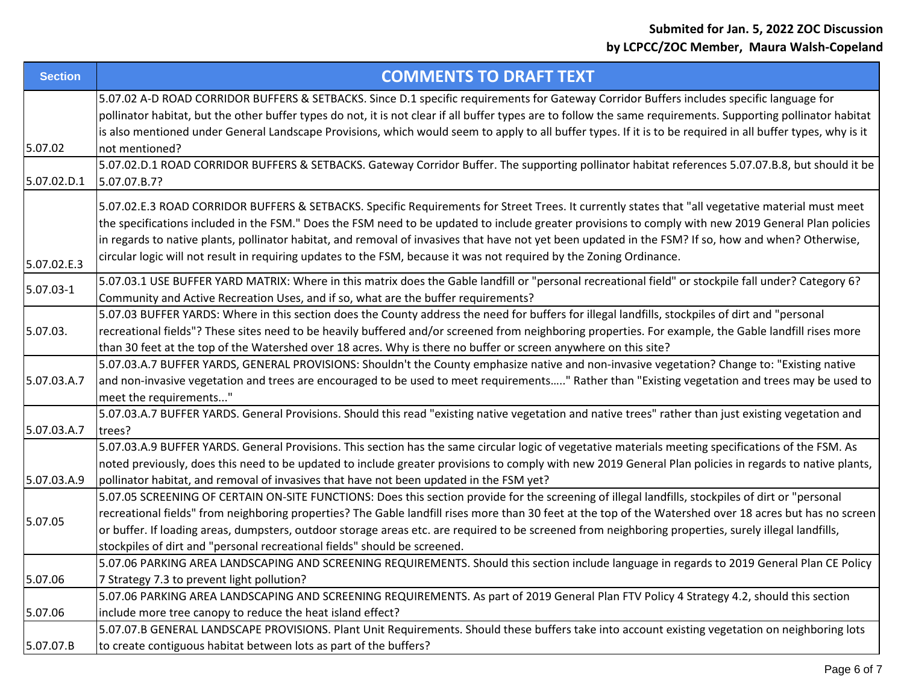| <b>Section</b> | <b>COMMENTS TO DRAFT TEXT</b>                                                                                                                                                                                                                                                                                                                                                                                                                                                                                                                                                             |
|----------------|-------------------------------------------------------------------------------------------------------------------------------------------------------------------------------------------------------------------------------------------------------------------------------------------------------------------------------------------------------------------------------------------------------------------------------------------------------------------------------------------------------------------------------------------------------------------------------------------|
| 5.07.02        | 5.07.02 A-D ROAD CORRIDOR BUFFERS & SETBACKS. Since D.1 specific requirements for Gateway Corridor Buffers includes specific language for<br>pollinator habitat, but the other buffer types do not, it is not clear if all buffer types are to follow the same requirements. Supporting pollinator habitat<br>is also mentioned under General Landscape Provisions, which would seem to apply to all buffer types. If it is to be required in all buffer types, why is it<br>not mentioned?                                                                                               |
| 5.07.02.D.1    | 5.07.02.D.1 ROAD CORRIDOR BUFFERS & SETBACKS. Gateway Corridor Buffer. The supporting pollinator habitat references 5.07.07.B.8, but should it be<br>5.07.07.B.7?                                                                                                                                                                                                                                                                                                                                                                                                                         |
| 5.07.02.E.3    | 5.07.02.E.3 ROAD CORRIDOR BUFFERS & SETBACKS. Specific Requirements for Street Trees. It currently states that "all vegetative material must meet<br>the specifications included in the FSM." Does the FSM need to be updated to include greater provisions to comply with new 2019 General Plan policies<br>in regards to native plants, pollinator habitat, and removal of invasives that have not yet been updated in the FSM? If so, how and when? Otherwise,<br>circular logic will not result in requiring updates to the FSM, because it was not required by the Zoning Ordinance. |
| 5.07.03-1      | 5.07.03.1 USE BUFFER YARD MATRIX: Where in this matrix does the Gable landfill or "personal recreational field" or stockpile fall under? Category 6?<br>Community and Active Recreation Uses, and if so, what are the buffer requirements?                                                                                                                                                                                                                                                                                                                                                |
| 5.07.03.       | 5.07.03 BUFFER YARDS: Where in this section does the County address the need for buffers for illegal landfills, stockpiles of dirt and "personal<br>recreational fields"? These sites need to be heavily buffered and/or screened from neighboring properties. For example, the Gable landfill rises more<br>than 30 feet at the top of the Watershed over 18 acres. Why is there no buffer or screen anywhere on this site?                                                                                                                                                              |
| 5.07.03.A.7    | 5.07.03.A.7 BUFFER YARDS, GENERAL PROVISIONS: Shouldn't the County emphasize native and non-invasive vegetation? Change to: "Existing native<br>and non-invasive vegetation and trees are encouraged to be used to meet requirements" Rather than "Existing vegetation and trees may be used to<br>meet the requirements"                                                                                                                                                                                                                                                                 |
| 5.07.03.A.7    | 5.07.03.A.7 BUFFER YARDS. General Provisions. Should this read "existing native vegetation and native trees" rather than just existing vegetation and<br>trees?                                                                                                                                                                                                                                                                                                                                                                                                                           |
| 5.07.03.A.9    | 5.07.03.A.9 BUFFER YARDS. General Provisions. This section has the same circular logic of vegetative materials meeting specifications of the FSM. As<br>noted previously, does this need to be updated to include greater provisions to comply with new 2019 General Plan policies in regards to native plants,<br>pollinator habitat, and removal of invasives that have not been updated in the FSM yet?                                                                                                                                                                                |
| 5.07.05        | 5.07.05 SCREENING OF CERTAIN ON-SITE FUNCTIONS: Does this section provide for the screening of illegal landfills, stockpiles of dirt or "personal<br>recreational fields" from neighboring properties? The Gable landfill rises more than 30 feet at the top of the Watershed over 18 acres but has no screen<br>or buffer. If loading areas, dumpsters, outdoor storage areas etc. are required to be screened from neighboring properties, surely illegal landfills,<br>stockpiles of dirt and "personal recreational fields" should be screened.                                       |
| 5.07.06        | 5.07.06 PARKING AREA LANDSCAPING AND SCREENING REQUIREMENTS. Should this section include language in regards to 2019 General Plan CE Policy<br>7 Strategy 7.3 to prevent light pollution?                                                                                                                                                                                                                                                                                                                                                                                                 |
| 5.07.06        | 5.07.06 PARKING AREA LANDSCAPING AND SCREENING REQUIREMENTS. As part of 2019 General Plan FTV Policy 4 Strategy 4.2, should this section<br>include more tree canopy to reduce the heat island effect?                                                                                                                                                                                                                                                                                                                                                                                    |
| 5.07.07.B      | 5.07.07.B GENERAL LANDSCAPE PROVISIONS. Plant Unit Requirements. Should these buffers take into account existing vegetation on neighboring lots<br>to create contiguous habitat between lots as part of the buffers?                                                                                                                                                                                                                                                                                                                                                                      |